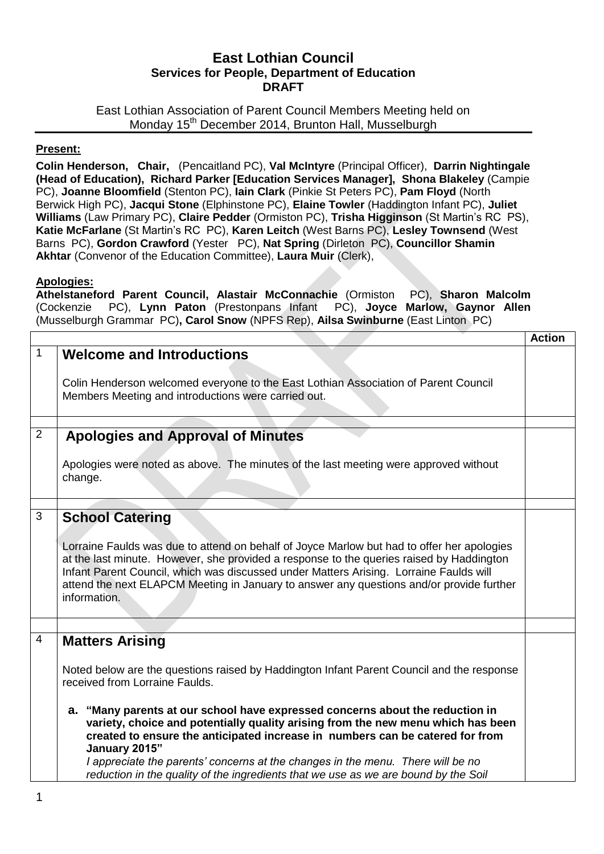# **East Lothian Council Services for People, Department of Education DRAFT**

East Lothian Association of Parent Council Members Meeting held on Monday 15<sup>th</sup> December 2014, Brunton Hall, Musselburgh

# **Present:**

**Colin Henderson, Chair,** (Pencaitland PC), **Val McIntyre** (Principal Officer), **Darrin Nightingale (Head of Education), Richard Parker [Education Services Manager], Shona Blakeley** (Campie PC), **Joanne Bloomfield** (Stenton PC), **Iain Clark** (Pinkie St Peters PC), **Pam Floyd** (North Berwick High PC), **Jacqui Stone** (Elphinstone PC), **Elaine Towler** (Haddington Infant PC), **Juliet Williams** (Law Primary PC), **Claire Pedder** (Ormiston PC), **Trisha Higginson** (St Martin's RC PS), **Katie McFarlane** (St Martin's RC PC), **Karen Leitch** (West Barns PC), **Lesley Townsend** (West Barns PC), **Gordon Crawford** (Yester PC), **Nat Spring** (Dirleton PC), **Councillor Shamin Akhtar** (Convenor of the Education Committee), **Laura Muir** (Clerk),

# **Apologies:**

**Athelstaneford Parent Council, Alastair McConnachie** (Ormiston PC), **Sharon Malcolm**  (Cockenzie PC), **Lynn Paton** (Prestonpans Infant PC), **Joyce Marlow, Gaynor Allen**  (Musselburgh Grammar PC)**, Carol Snow** (NPFS Rep), **Ailsa Swinburne** (East Linton PC)

|                |                                                                                                                                                                                                                                                                                                                                                                                                                                                                                                                                                                                                        | <b>Action</b> |
|----------------|--------------------------------------------------------------------------------------------------------------------------------------------------------------------------------------------------------------------------------------------------------------------------------------------------------------------------------------------------------------------------------------------------------------------------------------------------------------------------------------------------------------------------------------------------------------------------------------------------------|---------------|
| $\mathbf{1}$   | <b>Welcome and Introductions</b><br>Colin Henderson welcomed everyone to the East Lothian Association of Parent Council<br>Members Meeting and introductions were carried out.                                                                                                                                                                                                                                                                                                                                                                                                                         |               |
|                |                                                                                                                                                                                                                                                                                                                                                                                                                                                                                                                                                                                                        |               |
| 2              | <b>Apologies and Approval of Minutes</b>                                                                                                                                                                                                                                                                                                                                                                                                                                                                                                                                                               |               |
|                | Apologies were noted as above. The minutes of the last meeting were approved without<br>change.                                                                                                                                                                                                                                                                                                                                                                                                                                                                                                        |               |
|                |                                                                                                                                                                                                                                                                                                                                                                                                                                                                                                                                                                                                        |               |
| 3              | <b>School Catering</b><br>Lorraine Faulds was due to attend on behalf of Joyce Marlow but had to offer her apologies<br>at the last minute. However, she provided a response to the queries raised by Haddington<br>Infant Parent Council, which was discussed under Matters Arising. Lorraine Faulds will<br>attend the next ELAPCM Meeting in January to answer any questions and/or provide further<br>information.                                                                                                                                                                                 |               |
| $\overline{4}$ |                                                                                                                                                                                                                                                                                                                                                                                                                                                                                                                                                                                                        |               |
|                | <b>Matters Arising</b><br>Noted below are the questions raised by Haddington Infant Parent Council and the response<br>received from Lorraine Faulds.<br>a. "Many parents at our school have expressed concerns about the reduction in<br>variety, choice and potentially quality arising from the new menu which has been<br>created to ensure the anticipated increase in numbers can be catered for from<br>January 2015"<br>I appreciate the parents' concerns at the changes in the menu. There will be no<br>reduction in the quality of the ingredients that we use as we are bound by the Soil |               |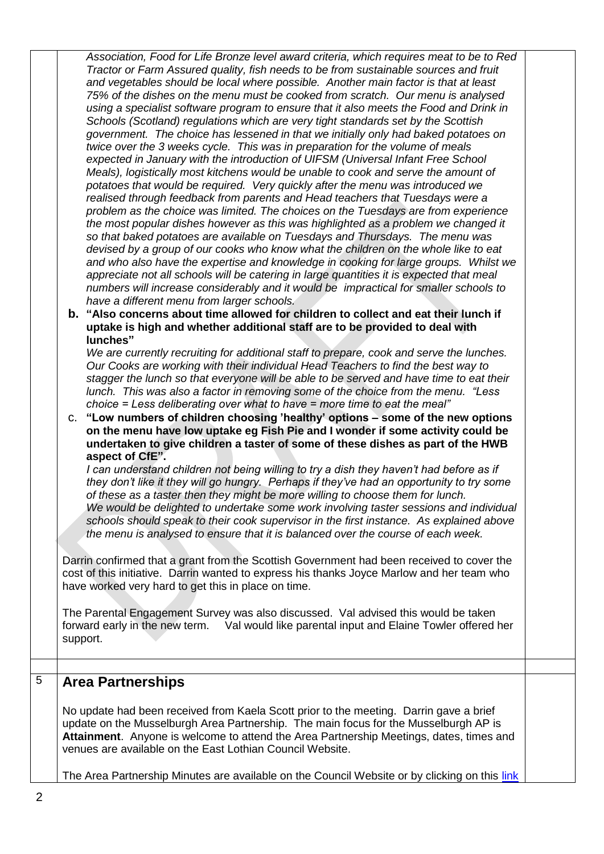*Association, Food for Life Bronze level award criteria, which requires meat to be to Red Tractor or Farm Assured quality, fish needs to be from sustainable sources and fruit and vegetables should be local where possible. Another main factor is that at least 75% of the dishes on the menu must be cooked from scratch. Our menu is analysed using a specialist software program to ensure that it also meets the Food and Drink in Schools (Scotland) regulations which are very tight standards set by the Scottish government. The choice has lessened in that we initially only had baked potatoes on twice over the 3 weeks cycle. This was in preparation for the volume of meals expected in January with the introduction of UIFSM (Universal Infant Free School Meals), logistically most kitchens would be unable to cook and serve the amount of potatoes that would be required. Very quickly after the menu was introduced we realised through feedback from parents and Head teachers that Tuesdays were a problem as the choice was limited. The choices on the Tuesdays are from experience the most popular dishes however as this was highlighted as a problem we changed it so that baked potatoes are available on Tuesdays and Thursdays. The menu was devised by a group of our cooks who know what the children on the whole like to eat and who also have the expertise and knowledge in cooking for large groups. Whilst we appreciate not all schools will be catering in large quantities it is expected that meal numbers will increase considerably and it would be impractical for smaller schools to have a different menu from larger schools.*

**b. "Also concerns about time allowed for children to collect and eat their lunch if uptake is high and whether additional staff are to be provided to deal with lunches"**

*We are currently recruiting for additional staff to prepare, cook and serve the lunches. Our Cooks are working with their individual Head Teachers to find the best way to stagger the lunch so that everyone will be able to be served and have time to eat their lunch. This was also a factor in removing some of the choice from the menu. "Less choice = Less deliberating over what to have = more time to eat the meal"*

c. **"Low numbers of children choosing 'healthy' options – some of the new options on the menu have low uptake eg Fish Pie and I wonder if some activity could be undertaken to give children a taster of some of these dishes as part of the HWB aspect of CfE".**

*I can understand children not being willing to try a dish they haven't had before as if they don't like it they will go hungry. Perhaps if they've had an opportunity to try some of these as a taster then they might be more willing to choose them for lunch. We would be delighted to undertake some work involving taster sessions and individual schools should speak to their cook supervisor in the first instance. As explained above the menu is analysed to ensure that it is balanced over the course of each week.*

Darrin confirmed that a grant from the Scottish Government had been received to cover the cost of this initiative. Darrin wanted to express his thanks Joyce Marlow and her team who have worked very hard to get this in place on time.

The Parental Engagement Survey was also discussed. Val advised this would be taken forward early in the new term. Val would like parental input and Elaine Towler offered her support.

# 5 **Area Partnerships**

No update had been received from Kaela Scott prior to the meeting. Darrin gave a brief update on the Musselburgh Area Partnership. The main focus for the Musselburgh AP is **Attainment**. Anyone is welcome to attend the Area Partnership Meetings, dates, times and venues are available on the East Lothian Council Website.

The Area Partnership Minutes are available on the Council Website or by clicking on this [link](http://www.eastlothian.gov.uk/info/200135/east_lothian_partnership_priorities/1586/community_planning_in_east_lothian/2)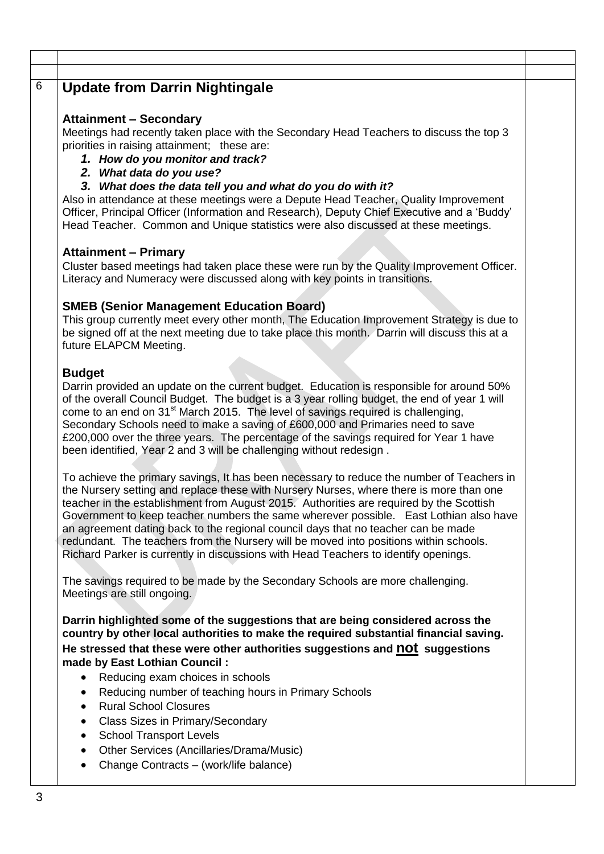# 6 **Update from Darrin Nightingale**

# **Attainment – Secondary**

Meetings had recently taken place with the Secondary Head Teachers to discuss the top 3 priorities in raising attainment; these are:

- *1. How do you monitor and track?*
- *2. What data do you use?*
- *3. What does the data tell you and what do you do with it?*

Also in attendance at these meetings were a Depute Head Teacher, Quality Improvement Officer, Principal Officer (Information and Research), Deputy Chief Executive and a 'Buddy' Head Teacher. Common and Unique statistics were also discussed at these meetings.

#### **Attainment – Primary**

Cluster based meetings had taken place these were run by the Quality Improvement Officer. Literacy and Numeracy were discussed along with key points in transitions.

### **SMEB (Senior Management Education Board)**

This group currently meet every other month, The Education Improvement Strategy is due to be signed off at the next meeting due to take place this month. Darrin will discuss this at a future ELAPCM Meeting.

### **Budget**

Darrin provided an update on the current budget. Education is responsible for around 50% of the overall Council Budget. The budget is a 3 year rolling budget, the end of year 1 will come to an end on 31<sup>st</sup> March 2015. The level of savings required is challenging, Secondary Schools need to make a saving of £600,000 and Primaries need to save £200,000 over the three years. The percentage of the savings required for Year 1 have been identified, Year 2 and 3 will be challenging without redesign .

To achieve the primary savings, It has been necessary to reduce the number of Teachers in the Nursery setting and replace these with Nursery Nurses, where there is more than one teacher in the establishment from August 2015. Authorities are required by the Scottish Government to keep teacher numbers the same wherever possible. East Lothian also have an agreement dating back to the regional council days that no teacher can be made redundant. The teachers from the Nursery will be moved into positions within schools. Richard Parker is currently in discussions with Head Teachers to identify openings.

The savings required to be made by the Secondary Schools are more challenging. Meetings are still ongoing.

**Darrin highlighted some of the suggestions that are being considered across the country by other local authorities to make the required substantial financial saving. He stressed that these were other authorities suggestions and not suggestions made by East Lothian Council :**

- Reducing exam choices in schools
- Reducing number of teaching hours in Primary Schools
- Rural School Closures
- Class Sizes in Primary/Secondary
- School Transport Levels
- Other Services (Ancillaries/Drama/Music)
- Change Contracts (work/life balance)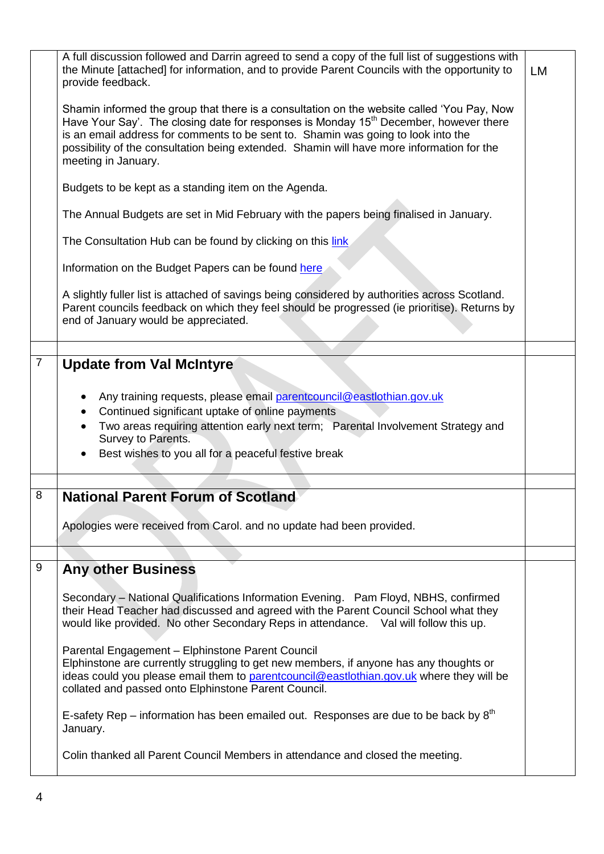|                | A full discussion followed and Darrin agreed to send a copy of the full list of suggestions with<br>the Minute [attached] for information, and to provide Parent Councils with the opportunity to<br>provide feedback.                                                                                                                                                                                   | LM |
|----------------|----------------------------------------------------------------------------------------------------------------------------------------------------------------------------------------------------------------------------------------------------------------------------------------------------------------------------------------------------------------------------------------------------------|----|
|                | Shamin informed the group that there is a consultation on the website called 'You Pay, Now<br>Have Your Say'. The closing date for responses is Monday 15 <sup>th</sup> December, however there<br>is an email address for comments to be sent to. Shamin was going to look into the<br>possibility of the consultation being extended. Shamin will have more information for the<br>meeting in January. |    |
|                | Budgets to be kept as a standing item on the Agenda.                                                                                                                                                                                                                                                                                                                                                     |    |
|                | The Annual Budgets are set in Mid February with the papers being finalised in January.                                                                                                                                                                                                                                                                                                                   |    |
|                | The Consultation Hub can be found by clicking on this link                                                                                                                                                                                                                                                                                                                                               |    |
|                | Information on the Budget Papers can be found here                                                                                                                                                                                                                                                                                                                                                       |    |
|                | A slightly fuller list is attached of savings being considered by authorities across Scotland.<br>Parent councils feedback on which they feel should be progressed (ie prioritise). Returns by<br>end of January would be appreciated.                                                                                                                                                                   |    |
|                |                                                                                                                                                                                                                                                                                                                                                                                                          |    |
| $\overline{7}$ | <b>Update from Val McIntyre</b><br>Any training requests, please email parent council@eastlothian.gov.uk<br>Continued significant uptake of online payments<br>Two areas requiring attention early next term; Parental Involvement Strategy and<br>Survey to Parents.<br>Best wishes to you all for a peaceful festive break                                                                             |    |
|                |                                                                                                                                                                                                                                                                                                                                                                                                          |    |
|                |                                                                                                                                                                                                                                                                                                                                                                                                          |    |
| 8              | <b>National Parent Forum of Scotland</b>                                                                                                                                                                                                                                                                                                                                                                 |    |
|                | Apologies were received from Carol. and no update had been provided.                                                                                                                                                                                                                                                                                                                                     |    |
|                |                                                                                                                                                                                                                                                                                                                                                                                                          |    |
| $\overline{9}$ | <b>Any other Business</b>                                                                                                                                                                                                                                                                                                                                                                                |    |
|                | Secondary – National Qualifications Information Evening. Pam Floyd, NBHS, confirmed<br>their Head Teacher had discussed and agreed with the Parent Council School what they<br>would like provided. No other Secondary Reps in attendance. Val will follow this up.                                                                                                                                      |    |
|                | Parental Engagement - Elphinstone Parent Council<br>Elphinstone are currently struggling to get new members, if anyone has any thoughts or<br>ideas could you please email them to parentcouncil@eastlothian.gov.uk where they will be<br>collated and passed onto Elphinstone Parent Council.                                                                                                           |    |
|                | E-safety Rep – information has been emailed out. Responses are due to be back by $8th$<br>January.                                                                                                                                                                                                                                                                                                       |    |
|                | Colin thanked all Parent Council Members in attendance and closed the meeting.                                                                                                                                                                                                                                                                                                                           |    |